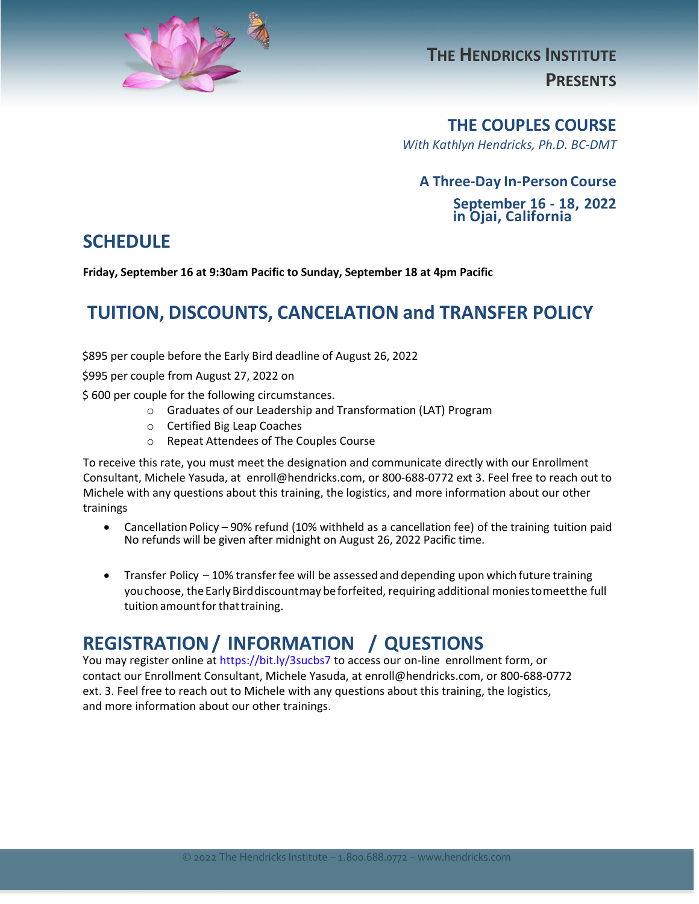

# **THE HENDRICKS INSTITUTE PRESENTS**

#### **THE COUPLES COURSE**

*With Kathlyn Hendricks, Ph.D. BC-DMT*

#### **A Three-Day In-Person Course**

**September 16 - 18, 2022 in Ojai, California** 

#### **SCHEDULE**

**Friday, September 16 at 9:30am Pacific to Sunday, September 18 at 4pm Pacific** 

# **TUITION, DISCOUNTS, CANCELATION and TRANSFER POLICY**

\$895 per couple before the Early Bird deadline of August 26, 2022

\$995 per couple from August 27, 2022 on

\$ 600 per couple for the following circumstances.

- o Graduates of our Leadership and Transformation (LAT) Program
- o Certified Big Leap Coaches
- o Repeat Attendees of The Couples Course

To receive this rate, you must meet the designation and communicate directly with our Enrollment Consultant, Michele Yasuda, at enroll@hendricks.com, or 800-688-0772 ext 3. Feel free to reach out to Michele with any questions about this training, the logistics, and more information about our other trainings

- Cancellation Policy 90% refund (10% withheld as a cancellation fee) of the training tuition paid No refunds will be given after midnight on August 26, 2022 Pacific time.
- Transfer Policy 10% transfer fee will be assessed and depending upon which future training youchoose, theEarly Birddiscountmay beforfeited, requiring additional moniestomeetthe full tuition amount for that training.

## **REGISTRATION/ INFORMATION / QUESTIONS**

You may register online at <https://bit.ly/3sucbs7> to access our on-line enrollment form, or contact our Enrollment Consultant, Michele Yasuda, at enroll@hendricks.com, or 800-688-0772 ext. 3. Feel free to reach out to Michele with any questions about this training, the logistics, and more information about our other trainings.